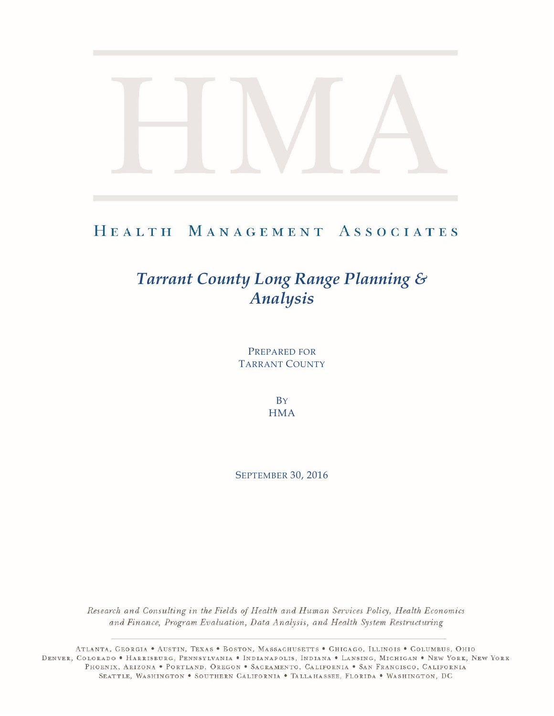# HEALTH MANAGEMENT ASSOCIATES

# *Tarrant County Long Range Planning & Analysis*

PREPARED FOR TARRANT COUNTY

> **B**Y **HMA**

SEPTEMBER 30, 2016

Research and Consulting in the Fields of Health and Human Services Policy, Health Economics and Finance, Program Evaluation, Data Analysis, and Health System Restructuring

ATLANTA, GEORGIA . AUSTIN, TEXAS . BOSTON, MASSACHUSETTS . CHICAGO, ILLINOIS . COLUMBUS, OHIO DENVER, COLORADO • HARRISBURG, PENNSYLVANIA • INDIANAPOLIS, INDIANA • LANSING, MICHIGAN • NEW YORK, NEW YORK PHOENIX, ARIZONA . PORTLAND, OREGON . SACRAMENTO, CALIFORNIA . SAN FRANCISCO, CALIFORNIA SEATTLE, WASHINGTON . SOUTHERN CALIFORNIA . TALLAHASSEE, FLORIDA . WASHINGTON, DC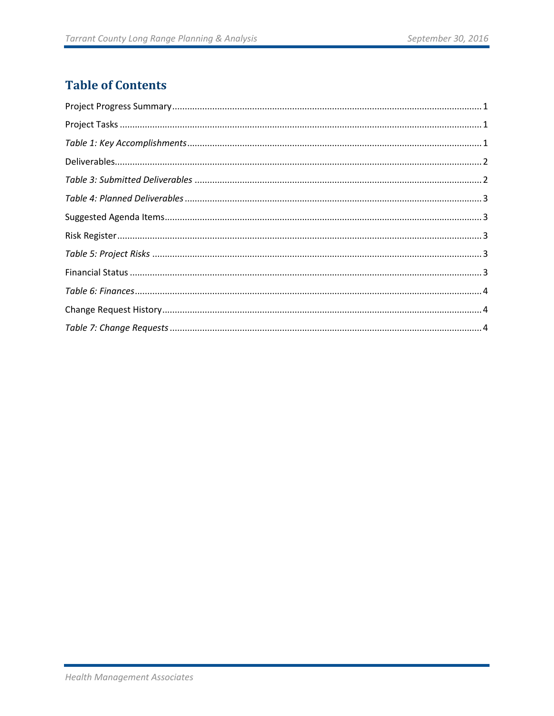# **Table of Contents**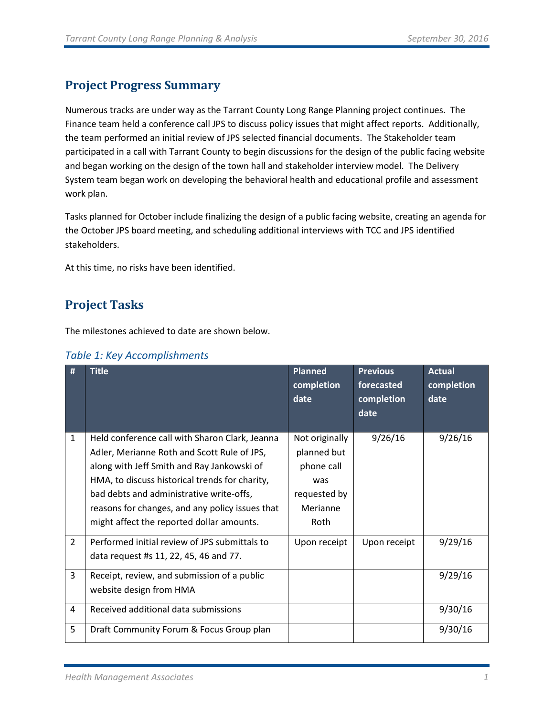# <span id="page-2-0"></span>**Project Progress Summary**

Numerous tracks are under way as the Tarrant County Long Range Planning project continues. The Finance team held a conference call JPS to discuss policy issues that might affect reports. Additionally, the team performed an initial review of JPS selected financial documents. The Stakeholder team participated in a call with Tarrant County to begin discussions for the design of the public facing website and began working on the design of the town hall and stakeholder interview model. The Delivery System team began work on developing the behavioral health and educational profile and assessment work plan.

Tasks planned for October include finalizing the design of a public facing website, creating an agenda for the October JPS board meeting, and scheduling additional interviews with TCC and JPS identified stakeholders.

<span id="page-2-1"></span>At this time, no risks have been identified.

# **Project Tasks**

The milestones achieved to date are shown below.

<span id="page-2-2"></span>

|  |  |  | Table 1: Key Accomplishments |
|--|--|--|------------------------------|
|--|--|--|------------------------------|

| #              | <b>Title</b>                                                                                                                                                                                                                                                                                                                              | <b>Planned</b><br>completion<br>date                                                   | <b>Previous</b><br>forecasted<br>completion<br>date | <b>Actual</b><br>completion<br>date |
|----------------|-------------------------------------------------------------------------------------------------------------------------------------------------------------------------------------------------------------------------------------------------------------------------------------------------------------------------------------------|----------------------------------------------------------------------------------------|-----------------------------------------------------|-------------------------------------|
| $\mathbf{1}$   | Held conference call with Sharon Clark, Jeanna<br>Adler, Merianne Roth and Scott Rule of JPS,<br>along with Jeff Smith and Ray Jankowski of<br>HMA, to discuss historical trends for charity,<br>bad debts and administrative write-offs,<br>reasons for changes, and any policy issues that<br>might affect the reported dollar amounts. | Not originally<br>planned but<br>phone call<br>was<br>requested by<br>Merianne<br>Roth | 9/26/16                                             | 9/26/16                             |
| $\overline{2}$ | Performed initial review of JPS submittals to<br>data request #s 11, 22, 45, 46 and 77.                                                                                                                                                                                                                                                   | Upon receipt                                                                           | Upon receipt                                        | 9/29/16                             |
| 3              | Receipt, review, and submission of a public<br>website design from HMA                                                                                                                                                                                                                                                                    |                                                                                        |                                                     | 9/29/16                             |
| 4              | Received additional data submissions                                                                                                                                                                                                                                                                                                      |                                                                                        |                                                     | 9/30/16                             |
| 5              | Draft Community Forum & Focus Group plan                                                                                                                                                                                                                                                                                                  |                                                                                        |                                                     | 9/30/16                             |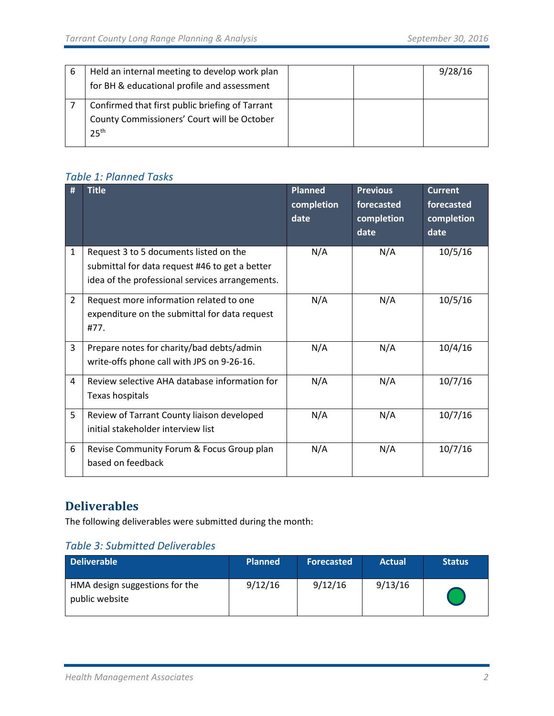| b | Held an internal meeting to develop work plan<br>for BH & educational profile and assessment                       |  | 9/28/16 |
|---|--------------------------------------------------------------------------------------------------------------------|--|---------|
|   | Confirmed that first public briefing of Tarrant<br>County Commissioners' Court will be October<br>25 <sup>th</sup> |  |         |

### *Table 1: Planned Tasks*

| #              | <b>Title</b>                                                                                                                                | <b>Planned</b><br>completion<br>date | <b>Previous</b><br>forecasted<br>completion<br>date | <b>Current</b><br>forecasted<br>completion<br>date |
|----------------|---------------------------------------------------------------------------------------------------------------------------------------------|--------------------------------------|-----------------------------------------------------|----------------------------------------------------|
| 1              | Request 3 to 5 documents listed on the<br>submittal for data request #46 to get a better<br>idea of the professional services arrangements. | N/A                                  | N/A                                                 | 10/5/16                                            |
| $\overline{2}$ | Request more information related to one<br>expenditure on the submittal for data request<br>#77.                                            | N/A                                  | N/A                                                 | 10/5/16                                            |
| 3              | Prepare notes for charity/bad debts/admin<br>write-offs phone call with JPS on 9-26-16.                                                     | N/A                                  | N/A                                                 | 10/4/16                                            |
| 4              | Review selective AHA database information for<br>Texas hospitals                                                                            | N/A                                  | N/A                                                 | 10/7/16                                            |
| 5              | Review of Tarrant County liaison developed<br>initial stakeholder interview list                                                            | N/A                                  | N/A                                                 | 10/7/16                                            |
| 6              | Revise Community Forum & Focus Group plan<br>based on feedback                                                                              | N/A                                  | N/A                                                 | 10/7/16                                            |

# <span id="page-3-0"></span>**Deliverables**

The following deliverables were submitted during the month:

### <span id="page-3-1"></span>*Table 3: Submitted Deliverables*

| <b>Deliverable</b>                               | <b>Planned</b> | <b>Forecasted</b> | <b>Actual</b> | <b>Status</b> |
|--------------------------------------------------|----------------|-------------------|---------------|---------------|
| HMA design suggestions for the<br>public website | 9/12/16        | 9/12/16           | 9/13/16       |               |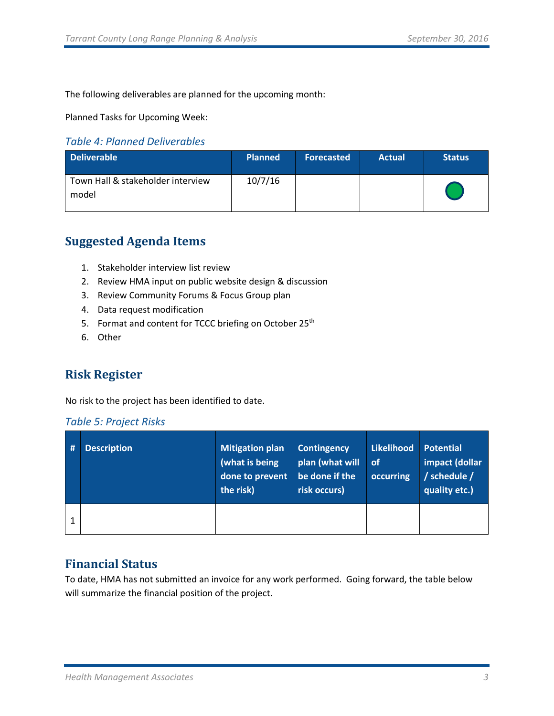The following deliverables are planned for the upcoming month:

Planned Tasks for Upcoming Week:

#### <span id="page-4-0"></span>*Table 4: Planned Deliverables*

| <b>Deliverable</b>                         | <b>Planned</b> | <b>Forecasted</b> | <b>Actual</b> | <b>Status</b> |
|--------------------------------------------|----------------|-------------------|---------------|---------------|
| Town Hall & stakeholder interview<br>model | 10/7/16        |                   |               |               |

## <span id="page-4-1"></span>**Suggested Agenda Items**

- 1. Stakeholder interview list review
- 2. Review HMA input on public website design & discussion
- 3. Review Community Forums & Focus Group plan
- 4. Data request modification
- 5. Format and content for TCCC briefing on October 25<sup>th</sup>
- 6. Other

## <span id="page-4-2"></span>**Risk Register**

No risk to the project has been identified to date.

#### <span id="page-4-3"></span>*Table 5: Project Risks*

| # | <b>Description</b> | <b>Mitigation plan</b><br>(what is being<br>done to prevent<br>the risk) | <b>Contingency</b><br>plan (what will<br>be done if the<br>risk occurs) | Likelihood<br>of<br>occurring | <b>Potential</b><br>impact (dollar<br>/ schedule /<br>quality etc.) |
|---|--------------------|--------------------------------------------------------------------------|-------------------------------------------------------------------------|-------------------------------|---------------------------------------------------------------------|
|   |                    |                                                                          |                                                                         |                               |                                                                     |

### <span id="page-4-4"></span>**Financial Status**

To date, HMA has not submitted an invoice for any work performed. Going forward, the table below will summarize the financial position of the project.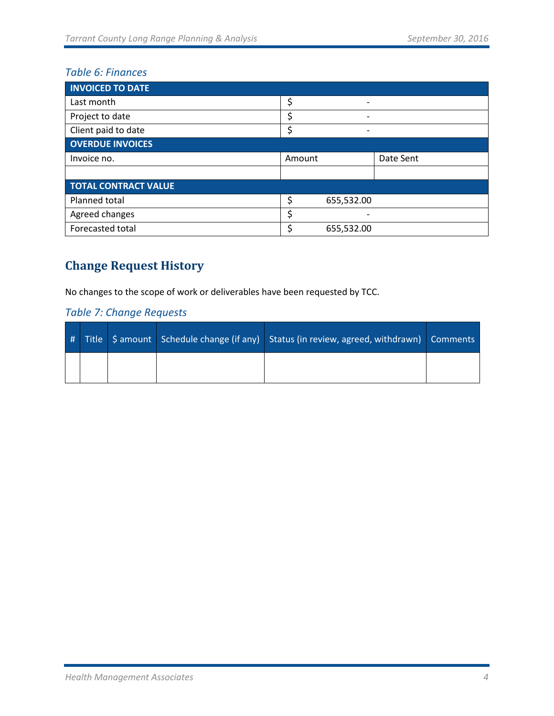# <span id="page-5-0"></span>*Table 6: Finances*

| <b>INVOICED TO DATE</b>     |        |                              |           |
|-----------------------------|--------|------------------------------|-----------|
| Last month                  | \$     | $\qquad \qquad \blacksquare$ |           |
| Project to date             | \$     |                              |           |
| Client paid to date         | c      | $\overline{\phantom{0}}$     |           |
| <b>OVERDUE INVOICES</b>     |        |                              |           |
| Invoice no.                 | Amount |                              | Date Sent |
|                             |        |                              |           |
| <b>TOTAL CONTRACT VALUE</b> |        |                              |           |
| Planned total               | \$     | 655,532.00                   |           |
| Agreed changes              | \$     |                              |           |
| Forecasted total            | c      | 655,532.00                   |           |

# <span id="page-5-1"></span>**Change Request History**

No changes to the scope of work or deliverables have been requested by TCC.

### <span id="page-5-2"></span>*Table 7: Change Requests*

|  |  | # Title   \$ amount   Schedule change (if any)   Status (in review, agreed, withdrawn)   Comments |  |
|--|--|---------------------------------------------------------------------------------------------------|--|
|  |  |                                                                                                   |  |